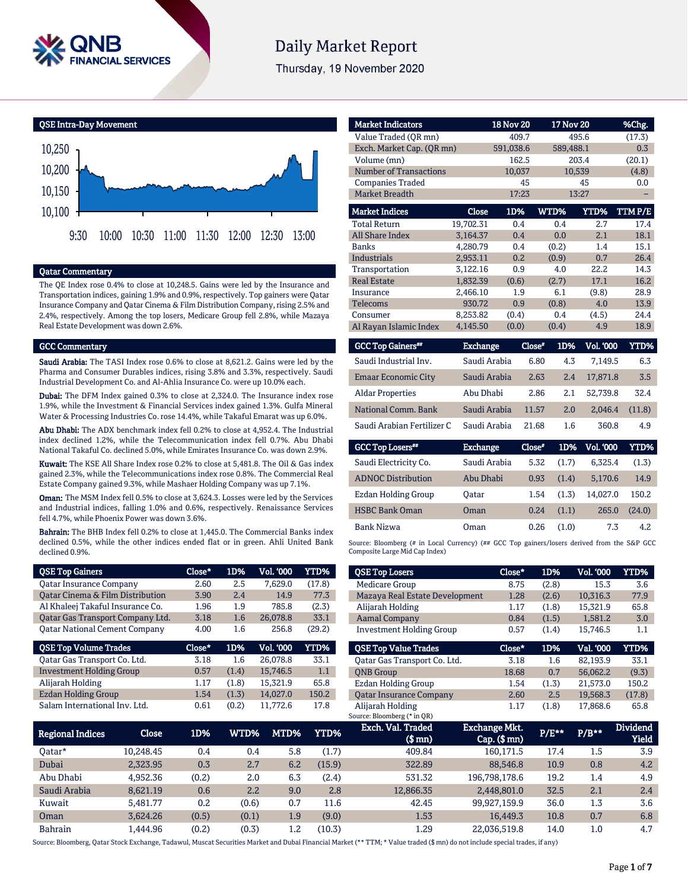

# **Daily Market Report**

Thursday, 19 November 2020

QSE Intra-Day Movement



#### Qatar Commentary

The QE Index rose 0.4% to close at 10,248.5. Gains were led by the Insurance and Transportation indices, gaining 1.9% and 0.9%, respectively. Top gainers were Qatar Insurance Company and Qatar Cinema & Film Distribution Company, rising 2.5% and 2.4%, respectively. Among the top losers, Medicare Group fell 2.8%, while Mazaya Real Estate Development was down 2.6%.

#### GCC Commentary

Saudi Arabia: The TASI Index rose 0.6% to close at 8,621.2. Gains were led by the Pharma and Consumer Durables indices, rising 3.8% and 3.3%, respectively. Saudi Industrial Development Co. and Al-Ahlia Insurance Co. were up 10.0% each.

Dubai: The DFM Index gained 0.3% to close at 2,324.0. The Insurance index rose 1.9%, while the Investment & Financial Services index gained 1.3%. Gulfa Mineral Water & Processing Industries Co. rose 14.4%, while Takaful Emarat was up 6.0%.

Abu Dhabi: The ADX benchmark index fell 0.2% to close at 4,952.4. The Industrial index declined 1.2%, while the Telecommunication index fell 0.7%. Abu Dhabi National Takaful Co. declined 5.0%, while Emirates Insurance Co. was down 2.9%.

Kuwait: The KSE All Share Index rose 0.2% to close at 5,481.8. The Oil & Gas index gained 2.3%, while the Telecommunications index rose 0.8%. The Commercial Real Estate Company gained 9.3%, while Mashaer Holding Company was up 7.1%.

Oman: The MSM Index fell 0.5% to close at 3,624.3. Losses were led by the Services and Industrial indices, falling 1.0% and 0.6%, respectively. Renaissance Services fell 4.7%, while Phoenix Power was down 3.6%.

Bahrain: The BHB Index fell 0.2% to close at 1,445.0. The Commercial Banks index declined 0.5%, while the other indices ended flat or in green. Ahli United Bank declined 0.9%.

| <b>QSE Top Gainers</b>                      | Close* | 1D%   | <b>Vol. '000</b> | <b>YTD%</b> |
|---------------------------------------------|--------|-------|------------------|-------------|
| <b>Qatar Insurance Company</b>              | 2.60   | 2.5   | 7,629.0          | (17.8)      |
| <b>Qatar Cinema &amp; Film Distribution</b> | 3.90   | 2.4   | 14.9             | 77.3        |
| Al Khaleej Takaful Insurance Co.            | 1.96   | 1.9   | 785.8            | (2.3)       |
| Qatar Gas Transport Company Ltd.            | 3.18   | 1.6   | 26,078.8         | 33.1        |
| <b>Qatar National Cement Company</b>        | 4.00   | 1.6   | 256.8            | (29.2)      |
|                                             |        |       |                  |             |
| <b>QSE Top Volume Trades</b>                | Close* | 1D%   | <b>Vol. '000</b> | <b>YTD%</b> |
| Oatar Gas Transport Co. Ltd.                | 3.18   | 1.6   | 26.078.8         | 33.1        |
| <b>Investment Holding Group</b>             | 0.57   | (1.4) | 15,746.5         | 1.1         |
| Alijarah Holding                            | 1.17   | (1.8) | 15.321.9         | 65.8        |
| <b>Ezdan Holding Group</b>                  | 1.54   | (1.3) | 14.027.0         | 150.2       |

| <b>Market Indicators</b>      |           | <b>18 Nov 20</b> | <b>17 Nov 20</b> |        | %Chg.  |
|-------------------------------|-----------|------------------|------------------|--------|--------|
| Value Traded (OR mn)          |           | 409.7            |                  | 495.6  | (17.3) |
| Exch. Market Cap. (OR mn)     |           | 591,038.6        | 589,488.1        |        | 0.3    |
| Volume (mn)                   |           | 162.5            |                  | 203.4  | (20.1) |
| <b>Number of Transactions</b> |           | 10,037           |                  | 10,539 | (4.8)  |
| <b>Companies Traded</b>       |           | 45               |                  | 45     | 0.0    |
| <b>Market Breadth</b>         |           | 17:23            |                  | 13:27  |        |
| <b>Market Indices</b>         | Close     | 1D%              | WTD%             | YTD%   | TTMP/E |
| <b>Total Return</b>           | 19,702.31 | 0.4              | 0.4              | 2.7    | 17.4   |
| <b>All Share Index</b>        | 3.164.37  | 0.4              | 0.0              | 2.1    | 18.1   |
| <b>Banks</b>                  | 4,280.79  | 0.4              | (0.2)            | 1.4    | 15.1   |
| <b>Industrials</b>            | 2.953.11  | 0.2              | (0.9)            | 0.7    | 26.4   |
| Transportation                | 3,122.16  | 0.9              | 4.0              | 22.2   | 14.3   |
| <b>Real Estate</b>            | 1,832.39  | (0.6)            | (2.7)            | 17.1   | 16.2   |
| Insurance                     | 2,466.10  | 1.9              | 6.1              | (9.8)  | 28.9   |
| <b>Telecoms</b>               | 930.72    | 0.9              | (0.8)            | 4.0    | 13.9   |
| Consumer                      | 8,253.82  | (0.4)            | 0.4              | (4.5)  | 24.4   |
| Al Rayan Islamic Index        | 4,145.50  | (0.0)            | (0.4)            | 4.9    | 18.9   |

| <b>GCC Top Gainers**</b>   | <b>Exchange</b> | Close* | 1D% | Vol. '000 | YTD%   |
|----------------------------|-----------------|--------|-----|-----------|--------|
| Saudi Industrial Inv.      | Saudi Arabia    | 6.80   | 4.3 | 7.149.5   | 6.3    |
| <b>Emaar Economic City</b> | Saudi Arabia    | 2.63   | 2.4 | 17,871.8  | 3.5    |
| <b>Aldar Properties</b>    | Abu Dhabi       | 2.86   | 2.1 | 52.739.8  | 32.4   |
| National Comm. Bank        | Saudi Arabia    | 11.57  | 2.0 | 2.046.4   | (11.8) |
| Saudi Arabian Fertilizer C | Saudi Arabia    | 21.68  | 1.6 | 360.8     | 4.9    |

| <b>GCC Top Losers</b>     | <b>Exchange</b> | Close* | 1D%   | <b>Vol. '000</b> | YTD%   |
|---------------------------|-----------------|--------|-------|------------------|--------|
| Saudi Electricity Co.     | Saudi Arabia    | 5.32   | (1.7) | 6.325.4          | (1.3)  |
| <b>ADNOC Distribution</b> | Abu Dhabi       | 0.93   | (1.4) | 5,170.6          | 14.9   |
| Ezdan Holding Group       | Oatar           | 1.54   | (1.3) | 14.027.0         | 150.2  |
| <b>HSBC Bank Oman</b>     | Oman            | 0.24   | (1.1) | 265.0            | (24.0) |
| Bank Nizwa                | Oman            | 0.26   | (1.0) | 7.3              | 4.2    |

Source: Bloomberg (# in Local Currency) (## GCC Top gainers/losers derived from the S&P GCC Composite Large Mid Cap Index)

| <b>QSE Top Losers</b>           | Close* | 1D%   | <b>Vol. '000</b> | YTD%   |
|---------------------------------|--------|-------|------------------|--------|
|                                 |        |       |                  |        |
| <b>Medicare Group</b>           | 8.75   | (2.8) | 15.3             | 3.6    |
| Mazaya Real Estate Development  | 1.28   | (2.6) | 10,316.3         | 77.9   |
| Alijarah Holding                | 1.17   | (1.8) | 15,321.9         | 65.8   |
| <b>Aamal Company</b>            | 0.84   | (1.5) | 1,581.2          | 3.0    |
| <b>Investment Holding Group</b> | 0.57   | (1.4) | 15.746.5         | 1.1    |
|                                 |        |       |                  |        |
|                                 |        |       |                  |        |
| <b>OSE Top Value Trades</b>     | Close* | 1D%   | Val. '000        | YTD%   |
| Oatar Gas Transport Co. Ltd.    | 3.18   | 1.6   | 82.193.9         | 33.1   |
| <b>ONB</b> Group                | 18.68  | 0.7   | 56.062.2         | (9.3)  |
| <b>Ezdan Holding Group</b>      | 1.54   | (1.3) | 21.573.0         | 150.2  |
| <b>Oatar Insurance Company</b>  | 2.60   | 2.5   | 19.568.3         | (17.8) |
| Alijarah Holding                | 1.17   | (1.8) | 17,868.6         | 65.8   |

| Regional Indices | <b>Close</b>     | 1D%   | WTD%  | MTD%          | YTD%   | Exch. Val. Traded<br>$$$ mn $)$ | Exchange Mkt.<br>$Cap.$ ( $$mn)$ | $P/E***$ | $P/B***$ | <b>Dividend</b><br><b>Yield</b> |
|------------------|------------------|-------|-------|---------------|--------|---------------------------------|----------------------------------|----------|----------|---------------------------------|
| 0atar*           | 10.248.45        | 0.4   | 0.4   | 5.8           | (1.7)  | 409.84                          | 160.171.5                        | 17.4     | $1.5\,$  | 3.9                             |
| Dubai            | 2.323.95         | 0.3   | 2.7   | 6.2           | (15.9) | 322.89                          | 88,546.8                         | 10.9     | 0.8      | 4.2                             |
| Abu Dhabi        | 4.952.36         | (0.2) | 2.0   | 6.3           | (2.4)  | 531.32                          | 196,798,178.6                    | 19.2     | 1.4      | 4.9                             |
| Saudi Arabia     | 8,621.19         | 0.6   | 2.2   | 9.0           | 2.8    | 12,866.35                       | 2.448.801.0                      | 32.5     | 2.1      | 2.4                             |
| Kuwait           | 5.481.77         | 0.2   | (0.6) | 0.7           | 11.6   | 42.45                           | 99.927.159.9                     | 36.0     | 1.3      | 3.6                             |
| Oman             | 3.624.26         | (0.5) | (0.1) | 1.9           | (9.0)  | 1.53                            | 16.449.3                         | 10.8     | 0.7      | 6.8                             |
| <b>Bahrain</b>   | l <b>.444.96</b> | (0.2) | (0.3) | $1.2^{\circ}$ | (10.3) | 1.29                            | 22,036,519.8                     | 14.0     | $1.0\,$  | 4.7                             |

Source: Bloomberg, Qatar Stock Exchange, Tadawul, Muscat Securities Market and Dubai Financial Market (\*\* TTM; \* Value traded (\$ mn) do not include special trades, if any)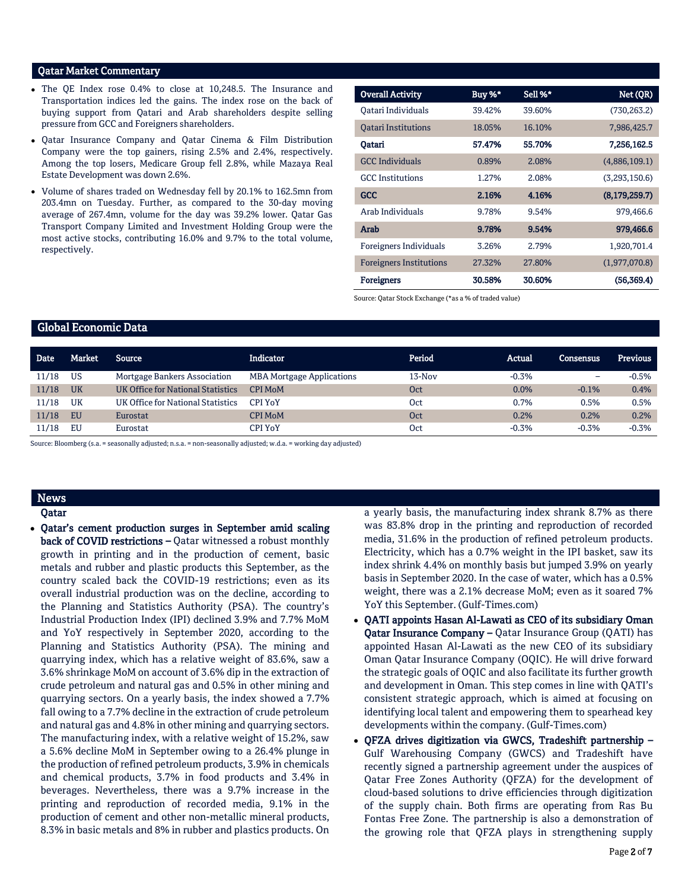## Qatar Market Commentary

- The QE Index rose 0.4% to close at 10,248.5. The Insurance and Transportation indices led the gains. The index rose on the back of buying support from Qatari and Arab shareholders despite selling pressure from GCC and Foreigners shareholders.
- Qatar Insurance Company and Qatar Cinema & Film Distribution Company were the top gainers, rising 2.5% and 2.4%, respectively. Among the top losers, Medicare Group fell 2.8%, while Mazaya Real Estate Development was down 2.6%.
- Volume of shares traded on Wednesday fell by 20.1% to 162.5mn from 203.4mn on Tuesday. Further, as compared to the 30-day moving average of 267.4mn, volume for the day was 39.2% lower. Qatar Gas Transport Company Limited and Investment Holding Group were the most active stocks, contributing 16.0% and 9.7% to the total volume, respectively.

| <b>Overall Activity</b>        | Buy %* | Sell %* | Net (QR)        |
|--------------------------------|--------|---------|-----------------|
| Oatari Individuals             | 39.42% | 39.60%  | (730, 263.2)    |
| <b>Oatari Institutions</b>     | 18.05% | 16.10%  | 7,986,425.7     |
| Qatari                         | 57.47% | 55.70%  | 7,256,162.5     |
| <b>GCC</b> Individuals         | 0.89%  | 2.08%   | (4,886,109.1)   |
| <b>GCC</b> Institutions        | 1.27%  | 2.08%   | (3,293,150.6)   |
| <b>GCC</b>                     | 2.16%  | 4.16%   | (8, 179, 259.7) |
| Arab Individuals               | 9.78%  | 9.54%   | 979,466.6       |
| Arab                           | 9.78%  | 9.54%   | 979,466.6       |
| Foreigners Individuals         | 3.26%  | 2.79%   | 1,920,701.4     |
| <b>Foreigners Institutions</b> | 27.32% | 27.80%  | (1,977,070.8)   |
| <b>Foreigners</b>              | 30.58% | 30.60%  | (56, 369.4)     |

Source: Qatar Stock Exchange (\*as a % of traded value)

### Global Economic Data

| <b>Date</b> | Market    | Source                                   | Indicator                        | Period   | <b>Actual</b> | Consensus                | Previous |
|-------------|-----------|------------------------------------------|----------------------------------|----------|---------------|--------------------------|----------|
| 11/18       | US        | Mortgage Bankers Association             | <b>MBA Mortgage Applications</b> | $13-Nov$ | $-0.3%$       | $\overline{\phantom{0}}$ | $-0.5%$  |
| 11/18       | <b>UK</b> | <b>UK Office for National Statistics</b> | <b>CPI MoM</b>                   | Oct      | 0.0%          | $-0.1%$                  | 0.4%     |
| 11/18       | UK        | UK Office for National Statistics        | <b>CPI YoY</b>                   | Oct      | 0.7%          | 0.5%                     | 0.5%     |
| 11/18       | EU        | Eurostat                                 | <b>CPI MoM</b>                   | Oct      | 0.2%          | 0.2%                     | 0.2%     |
| 11/18       | EU        | Eurostat                                 | CPI YoY                          | Oct      | $-0.3%$       | $-0.3%$                  | $-0.3%$  |

Source: Bloomberg (s.a. = seasonally adjusted; n.s.a. = non-seasonally adjusted; w.d.a. = working day adjusted)

# News

Qatar

• Qatar's cement production surges in September amid scaling back of COVID restrictions – Qatar witnessed a robust monthly growth in printing and in the production of cement, basic metals and rubber and plastic products this September, as the country scaled back the COVID-19 restrictions; even as its overall industrial production was on the decline, according to the Planning and Statistics Authority (PSA). The country's Industrial Production Index (IPI) declined 3.9% and 7.7% MoM and YoY respectively in September 2020, according to the Planning and Statistics Authority (PSA). The mining and quarrying index, which has a relative weight of 83.6%, saw a 3.6% shrinkage MoM on account of 3.6% dip in the extraction of crude petroleum and natural gas and 0.5% in other mining and quarrying sectors. On a yearly basis, the index showed a 7.7% fall owing to a 7.7% decline in the extraction of crude petroleum and natural gas and 4.8% in other mining and quarrying sectors. The manufacturing index, with a relative weight of 15.2%, saw a 5.6% decline MoM in September owing to a 26.4% plunge in the production of refined petroleum products, 3.9% in chemicals and chemical products, 3.7% in food products and 3.4% in beverages. Nevertheless, there was a 9.7% increase in the printing and reproduction of recorded media, 9.1% in the production of cement and other non-metallic mineral products, 8.3% in basic metals and 8% in rubber and plastics products. On

a yearly basis, the manufacturing index shrank 8.7% as there was 83.8% drop in the printing and reproduction of recorded media, 31.6% in the production of refined petroleum products. Electricity, which has a 0.7% weight in the IPI basket, saw its index shrink 4.4% on monthly basis but jumped 3.9% on yearly basis in September 2020. In the case of water, which has a 0.5% weight, there was a 2.1% decrease MoM; even as it soared 7% YoY this September. (Gulf-Times.com)

- QATI appoints Hasan Al-Lawati as CEO of its subsidiary Oman Qatar Insurance Company – Qatar Insurance Group (QATI) has appointed Hasan Al-Lawati as the new CEO of its subsidiary Oman Qatar Insurance Company (OQIC). He will drive forward the strategic goals of OQIC and also facilitate its further growth and development in Oman. This step comes in line with QATI's consistent strategic approach, which is aimed at focusing on identifying local talent and empowering them to spearhead key developments within the company. (Gulf-Times.com)
- QFZA drives digitization via GWCS, Tradeshift partnership Gulf Warehousing Company (GWCS) and Tradeshift have recently signed a partnership agreement under the auspices of Qatar Free Zones Authority (QFZA) for the development of cloud-based solutions to drive efficiencies through digitization of the supply chain. Both firms are operating from Ras Bu Fontas Free Zone. The partnership is also a demonstration of the growing role that QFZA plays in strengthening supply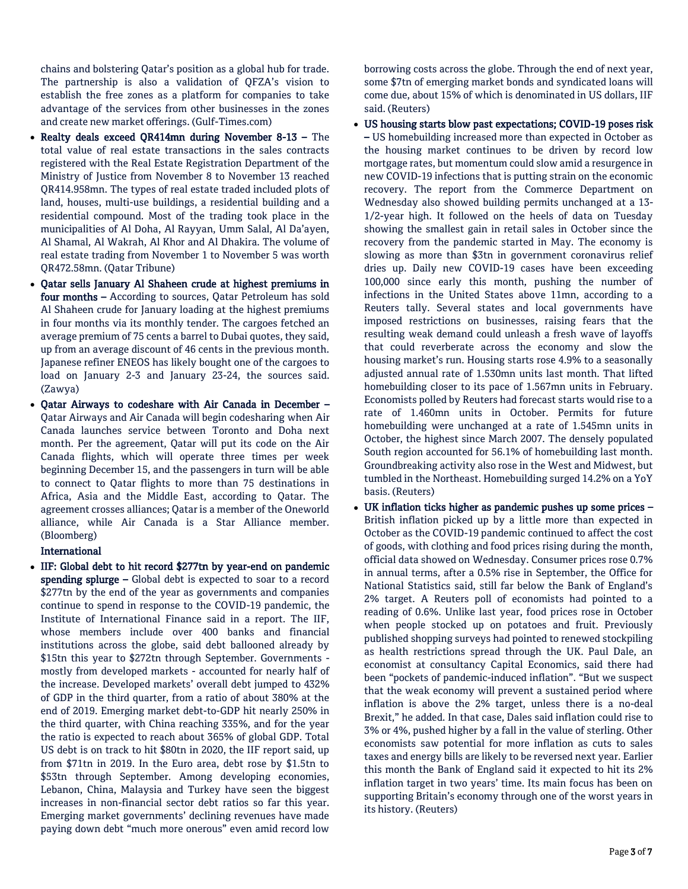chains and bolstering Qatar's position as a global hub for trade. The partnership is also a validation of QFZA's vision to establish the free zones as a platform for companies to take advantage of the services from other businesses in the zones and create new market offerings. (Gulf-Times.com)

- Realty deals exceed QR414mn during November 8-13 The total value of real estate transactions in the sales contracts registered with the Real Estate Registration Department of the Ministry of Justice from November 8 to November 13 reached QR414.958mn. The types of real estate traded included plots of land, houses, multi-use buildings, a residential building and a residential compound. Most of the trading took place in the municipalities of Al Doha, Al Rayyan, Umm Salal, Al Da'ayen, Al Shamal, Al Wakrah, Al Khor and Al Dhakira. The volume of real estate trading from November 1 to November 5 was worth QR472.58mn. (Qatar Tribune)
- Qatar sells January Al Shaheen crude at highest premiums in four months – According to sources, Qatar Petroleum has sold Al Shaheen crude for January loading at the highest premiums in four months via its monthly tender. The cargoes fetched an average premium of 75 cents a barrel to Dubai quotes, they said, up from an average discount of 46 cents in the previous month. Japanese refiner ENEOS has likely bought one of the cargoes to load on January 2-3 and January 23-24, the sources said. (Zawya)
- Qatar Airways to codeshare with Air Canada in December Qatar Airways and Air Canada will begin codesharing when Air Canada launches service between Toronto and Doha next month. Per the agreement, Qatar will put its code on the Air Canada flights, which will operate three times per week beginning December 15, and the passengers in turn will be able to connect to Qatar flights to more than 75 destinations in Africa, Asia and the Middle East, according to Qatar. The agreement crosses alliances; Qatar is a member of the Oneworld alliance, while Air Canada is a Star Alliance member. (Bloomberg)

#### International

• IIF: Global debt to hit record \$277tn by year-end on pandemic spending splurge – Global debt is expected to soar to a record \$277tn by the end of the year as governments and companies continue to spend in response to the COVID-19 pandemic, the Institute of International Finance said in a report. The IIF, whose members include over 400 banks and financial institutions across the globe, said debt ballooned already by \$15tn this year to \$272tn through September. Governments mostly from developed markets - accounted for nearly half of the increase. Developed markets' overall debt jumped to 432% of GDP in the third quarter, from a ratio of about 380% at the end of 2019. Emerging market debt-to-GDP hit nearly 250% in the third quarter, with China reaching 335%, and for the year the ratio is expected to reach about 365% of global GDP. Total US debt is on track to hit \$80tn in 2020, the IIF report said, up from \$71tn in 2019. In the Euro area, debt rose by \$1.5tn to \$53tn through September. Among developing economies, Lebanon, China, Malaysia and Turkey have seen the biggest increases in non-financial sector debt ratios so far this year. Emerging market governments' declining revenues have made paying down debt "much more onerous" even amid record low

borrowing costs across the globe. Through the end of next year, some \$7tn of emerging market bonds and syndicated loans will come due, about 15% of which is denominated in US dollars, IIF said. (Reuters)

- US housing starts blow past expectations; COVID-19 poses risk – US homebuilding increased more than expected in October as the housing market continues to be driven by record low mortgage rates, but momentum could slow amid a resurgence in new COVID-19 infections that is putting strain on the economic recovery. The report from the Commerce Department on Wednesday also showed building permits unchanged at a 13- 1/2-year high. It followed on the heels of data on Tuesday showing the smallest gain in retail sales in October since the recovery from the pandemic started in May. The economy is slowing as more than \$3tn in government coronavirus relief dries up. Daily new COVID-19 cases have been exceeding 100,000 since early this month, pushing the number of infections in the United States above 11mn, according to a Reuters tally. Several states and local governments have imposed restrictions on businesses, raising fears that the resulting weak demand could unleash a fresh wave of layoffs that could reverberate across the economy and slow the housing market's run. Housing starts rose 4.9% to a seasonally adjusted annual rate of 1.530mn units last month. That lifted homebuilding closer to its pace of 1.567mn units in February. Economists polled by Reuters had forecast starts would rise to a rate of 1.460mn units in October. Permits for future homebuilding were unchanged at a rate of 1.545mn units in October, the highest since March 2007. The densely populated South region accounted for 56.1% of homebuilding last month. Groundbreaking activity also rose in the West and Midwest, but tumbled in the Northeast. Homebuilding surged 14.2% on a YoY basis. (Reuters)
- UK inflation ticks higher as pandemic pushes up some prices British inflation picked up by a little more than expected in October as the COVID-19 pandemic continued to affect the cost of goods, with clothing and food prices rising during the month, official data showed on Wednesday. Consumer prices rose 0.7% in annual terms, after a 0.5% rise in September, the Office for National Statistics said, still far below the Bank of England's 2% target. A Reuters poll of economists had pointed to a reading of 0.6%. Unlike last year, food prices rose in October when people stocked up on potatoes and fruit. Previously published shopping surveys had pointed to renewed stockpiling as health restrictions spread through the UK. Paul Dale, an economist at consultancy Capital Economics, said there had been "pockets of pandemic-induced inflation". "But we suspect that the weak economy will prevent a sustained period where inflation is above the 2% target, unless there is a no-deal Brexit," he added. In that case, Dales said inflation could rise to 3% or 4%, pushed higher by a fall in the value of sterling. Other economists saw potential for more inflation as cuts to sales taxes and energy bills are likely to be reversed next year. Earlier this month the Bank of England said it expected to hit its 2% inflation target in two years' time. Its main focus has been on supporting Britain's economy through one of the worst years in its history. (Reuters)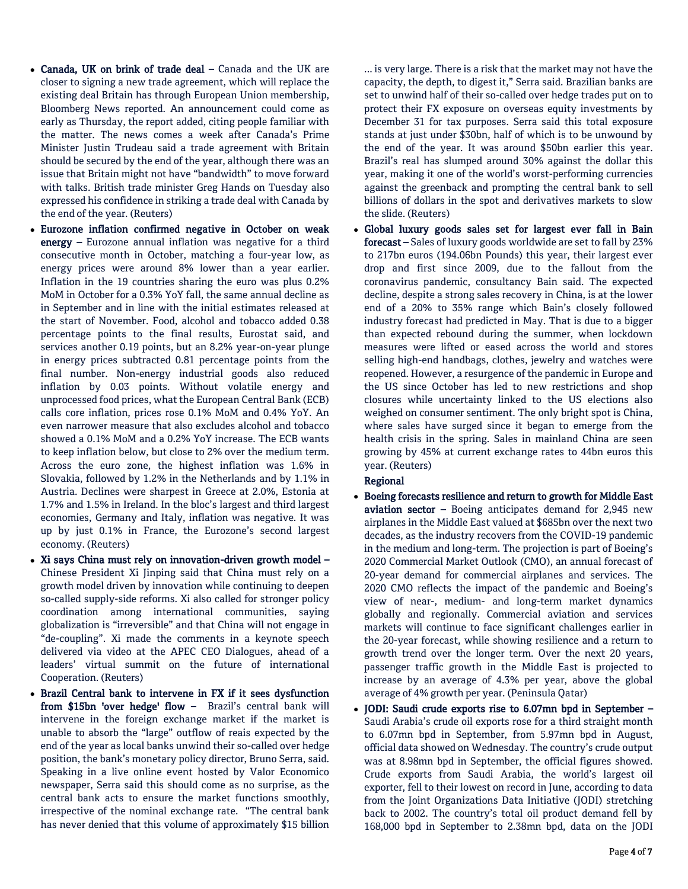- Canada, UK on brink of trade deal Canada and the UK are closer to signing a new trade agreement, which will replace the existing deal Britain has through European Union membership, Bloomberg News reported. An announcement could come as early as Thursday, the report added, citing people familiar with the matter. The news comes a week after Canada's Prime Minister Justin Trudeau said a trade agreement with Britain should be secured by the end of the year, although there was an issue that Britain might not have "bandwidth" to move forward with talks. British trade minister Greg Hands on Tuesday also expressed his confidence in striking a trade deal with Canada by the end of the year. (Reuters)
- Eurozone inflation confirmed negative in October on weak energy – Eurozone annual inflation was negative for a third consecutive month in October, matching a four-year low, as energy prices were around 8% lower than a year earlier. Inflation in the 19 countries sharing the euro was plus 0.2% MoM in October for a 0.3% YoY fall, the same annual decline as in September and in line with the initial estimates released at the start of November. Food, alcohol and tobacco added 0.38 percentage points to the final results, Eurostat said, and services another 0.19 points, but an 8.2% year-on-year plunge in energy prices subtracted 0.81 percentage points from the final number. Non-energy industrial goods also reduced inflation by 0.03 points. Without volatile energy and unprocessed food prices, what the European Central Bank (ECB) calls core inflation, prices rose 0.1% MoM and 0.4% YoY. An even narrower measure that also excludes alcohol and tobacco showed a 0.1% MoM and a 0.2% YoY increase. The ECB wants to keep inflation below, but close to 2% over the medium term. Across the euro zone, the highest inflation was 1.6% in Slovakia, followed by 1.2% in the Netherlands and by 1.1% in Austria. Declines were sharpest in Greece at 2.0%, Estonia at 1.7% and 1.5% in Ireland. In the bloc's largest and third largest economies, Germany and Italy, inflation was negative. It was up by just 0.1% in France, the Eurozone's second largest economy. (Reuters)
- Xi says China must rely on innovation-driven growth model Chinese President Xi Jinping said that China must rely on a growth model driven by innovation while continuing to deepen so-called supply-side reforms. Xi also called for stronger policy coordination among international communities, saying globalization is "irreversible" and that China will not engage in "de-coupling". Xi made the comments in a keynote speech delivered via video at the APEC CEO Dialogues, ahead of a leaders' virtual summit on the future of international Cooperation. (Reuters)
- Brazil Central bank to intervene in FX if it sees dysfunction from \$15bn 'over hedge' flow – Brazil's central bank will intervene in the foreign exchange market if the market is unable to absorb the "large" outflow of reais expected by the end of the year as local banks unwind their so-called over hedge position, the bank's monetary policy director, Bruno Serra, said. Speaking in a live online event hosted by Valor Economico newspaper, Serra said this should come as no surprise, as the central bank acts to ensure the market functions smoothly, irrespective of the nominal exchange rate. "The central bank has never denied that this volume of approximately \$15 billion

... is very large. There is a risk that the market may not have the capacity, the depth, to digest it," Serra said. Brazilian banks are set to unwind half of their so-called over hedge trades put on to protect their FX exposure on overseas equity investments by December 31 for tax purposes. Serra said this total exposure stands at just under \$30bn, half of which is to be unwound by the end of the year. It was around \$50bn earlier this year. Brazil's real has slumped around 30% against the dollar this year, making it one of the world's worst-performing currencies against the greenback and prompting the central bank to sell billions of dollars in the spot and derivatives markets to slow the slide. (Reuters)

• Global luxury goods sales set for largest ever fall in Bain forecast – Sales of luxury goods worldwide are set to fall by 23% to 217bn euros (194.06bn Pounds) this year, their largest ever drop and first since 2009, due to the fallout from the coronavirus pandemic, consultancy Bain said. The expected decline, despite a strong sales recovery in China, is at the lower end of a 20% to 35% range which Bain's closely followed industry forecast had predicted in May. That is due to a bigger than expected rebound during the summer, when lockdown measures were lifted or eased across the world and stores selling high-end handbags, clothes, jewelry and watches were reopened. However, a resurgence of the pandemic in Europe and the US since October has led to new restrictions and shop closures while uncertainty linked to the US elections also weighed on consumer sentiment. The only bright spot is China, where sales have surged since it began to emerge from the health crisis in the spring. Sales in mainland China are seen growing by 45% at current exchange rates to 44bn euros this year. (Reuters)

# Regional

- Boeing forecasts resilience and return to growth for Middle East aviation sector – Boeing anticipates demand for 2,945 new airplanes in the Middle East valued at \$685bn over the next two decades, as the industry recovers from the COVID-19 pandemic in the medium and long-term. The projection is part of Boeing's 2020 Commercial Market Outlook (CMO), an annual forecast of 20-year demand for commercial airplanes and services. The 2020 CMO reflects the impact of the pandemic and Boeing's view of near-, medium- and long-term market dynamics globally and regionally. Commercial aviation and services markets will continue to face significant challenges earlier in the 20-year forecast, while showing resilience and a return to growth trend over the longer term. Over the next 20 years, passenger traffic growth in the Middle East is projected to increase by an average of 4.3% per year, above the global average of 4% growth per year. (Peninsula Qatar)
- JODI: Saudi crude exports rise to 6.07mn bpd in September Saudi Arabia's crude oil exports rose for a third straight month to 6.07mn bpd in September, from 5.97mn bpd in August, official data showed on Wednesday. The country's crude output was at 8.98mn bpd in September, the official figures showed. Crude exports from Saudi Arabia, the world's largest oil exporter, fell to their lowest on record in June, according to data from the Joint Organizations Data Initiative (JODI) stretching back to 2002. The country's total oil product demand fell by 168,000 bpd in September to 2.38mn bpd, data on the JODI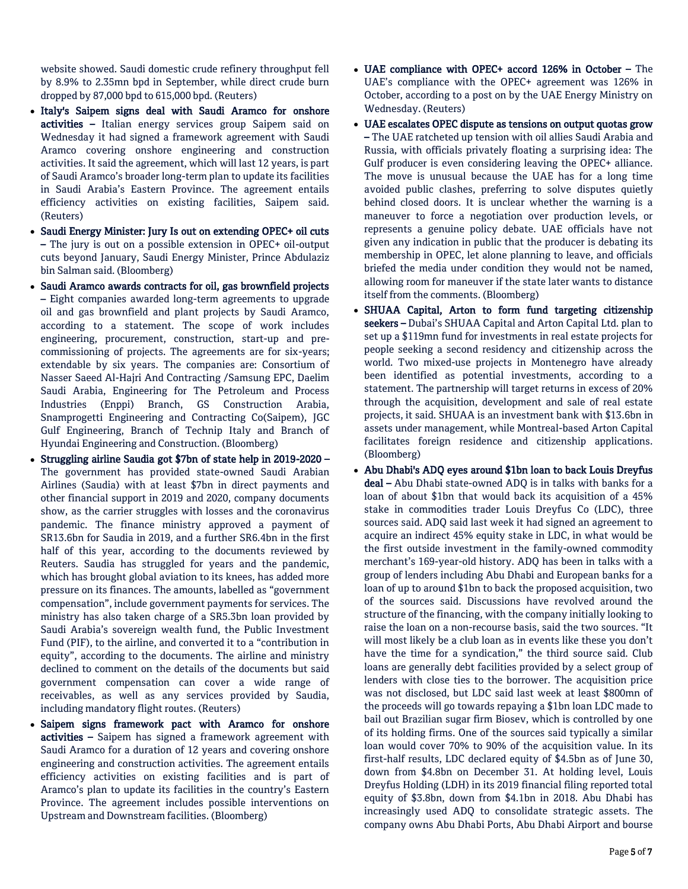website showed. Saudi domestic crude refinery throughput fell by 8.9% to 2.35mn bpd in September, while direct crude burn dropped by 87,000 bpd to 615,000 bpd. (Reuters)

- Italy's Saipem signs deal with Saudi Aramco for onshore activities - Italian energy services group Saipem said on Wednesday it had signed a framework agreement with Saudi Aramco covering onshore engineering and construction activities. It said the agreement, which will last 12 years, is part of Saudi Aramco's broader long-term plan to update its facilities in Saudi Arabia's Eastern Province. The agreement entails efficiency activities on existing facilities, Saipem said. (Reuters)
- Saudi Energy Minister: Jury Is out on extending OPEC+ oil cuts – The jury is out on a possible extension in OPEC+ oil-output cuts beyond January, Saudi Energy Minister, Prince Abdulaziz bin Salman said. (Bloomberg)
- Saudi Aramco awards contracts for oil, gas brownfield projects – Eight companies awarded long-term agreements to upgrade oil and gas brownfield and plant projects by Saudi Aramco, according to a statement. The scope of work includes engineering, procurement, construction, start-up and precommissioning of projects. The agreements are for six-years; extendable by six years. The companies are: Consortium of Nasser Saeed Al-Hajri And Contracting /Samsung EPC, Daelim Saudi Arabia, Engineering for The Petroleum and Process Industries (Enppi) Branch, GS Construction Arabia, Snamprogetti Engineering and Contracting Co(Saipem), JGC Gulf Engineering, Branch of Technip Italy and Branch of Hyundai Engineering and Construction. (Bloomberg)
- Struggling airline Saudia got \$7bn of state help in 2019-2020 The government has provided state-owned Saudi Arabian Airlines (Saudia) with at least \$7bn in direct payments and other financial support in 2019 and 2020, company documents show, as the carrier struggles with losses and the coronavirus pandemic. The finance ministry approved a payment of SR13.6bn for Saudia in 2019, and a further SR6.4bn in the first half of this year, according to the documents reviewed by Reuters. Saudia has struggled for years and the pandemic, which has brought global aviation to its knees, has added more pressure on its finances. The amounts, labelled as "government compensation", include government payments for services. The ministry has also taken charge of a SR5.3bn loan provided by Saudi Arabia's sovereign wealth fund, the Public Investment Fund (PIF), to the airline, and converted it to a "contribution in equity", according to the documents. The airline and ministry declined to comment on the details of the documents but said government compensation can cover a wide range of receivables, as well as any services provided by Saudia, including mandatory flight routes. (Reuters)
- Saipem signs framework pact with Aramco for onshore activities – Saipem has signed a framework agreement with Saudi Aramco for a duration of 12 years and covering onshore engineering and construction activities. The agreement entails efficiency activities on existing facilities and is part of Aramco's plan to update its facilities in the country's Eastern Province. The agreement includes possible interventions on Upstream and Downstream facilities. (Bloomberg)
- UAE compliance with OPEC+ accord 126% in October The UAE's compliance with the OPEC+ agreement was 126% in October, according to a post on by the UAE Energy Ministry on Wednesday. (Reuters)
- UAE escalates OPEC dispute as tensions on output quotas grow – The UAE ratcheted up tension with oil allies Saudi Arabia and Russia, with officials privately floating a surprising idea: The Gulf producer is even considering leaving the OPEC+ alliance. The move is unusual because the UAE has for a long time avoided public clashes, preferring to solve disputes quietly behind closed doors. It is unclear whether the warning is a maneuver to force a negotiation over production levels, or represents a genuine policy debate. UAE officials have not given any indication in public that the producer is debating its membership in OPEC, let alone planning to leave, and officials briefed the media under condition they would not be named, allowing room for maneuver if the state later wants to distance itself from the comments. (Bloomberg)
- SHUAA Capital, Arton to form fund targeting citizenship seekers – Dubai's SHUAA Capital and Arton Capital Ltd. plan to set up a \$119mn fund for investments in real estate projects for people seeking a second residency and citizenship across the world. Two mixed-use projects in Montenegro have already been identified as potential investments, according to a statement. The partnership will target returns in excess of 20% through the acquisition, development and sale of real estate projects, it said. SHUAA is an investment bank with \$13.6bn in assets under management, while Montreal-based Arton Capital facilitates foreign residence and citizenship applications. (Bloomberg)
- Abu Dhabi's ADQ eyes around \$1bn loan to back Louis Dreyfus deal – Abu Dhabi state-owned ADQ is in talks with banks for a loan of about \$1bn that would back its acquisition of a 45% stake in commodities trader Louis Dreyfus Co (LDC), three sources said. ADQ said last week it had signed an agreement to acquire an indirect 45% equity stake in LDC, in what would be the first outside investment in the family-owned commodity merchant's 169-year-old history. ADQ has been in talks with a group of lenders including Abu Dhabi and European banks for a loan of up to around \$1bn to back the proposed acquisition, two of the sources said. Discussions have revolved around the structure of the financing, with the company initially looking to raise the loan on a non-recourse basis, said the two sources. "It will most likely be a club loan as in events like these you don't have the time for a syndication," the third source said. Club loans are generally debt facilities provided by a select group of lenders with close ties to the borrower. The acquisition price was not disclosed, but LDC said last week at least \$800mn of the proceeds will go towards repaying a \$1bn loan LDC made to bail out Brazilian sugar firm Biosev, which is controlled by one of its holding firms. One of the sources said typically a similar loan would cover 70% to 90% of the acquisition value. In its first-half results, LDC declared equity of \$4.5bn as of June 30, down from \$4.8bn on December 31. At holding level, Louis Dreyfus Holding (LDH) in its 2019 financial filing reported total equity of \$3.8bn, down from \$4.1bn in 2018. Abu Dhabi has increasingly used ADQ to consolidate strategic assets. The company owns Abu Dhabi Ports, Abu Dhabi Airport and bourse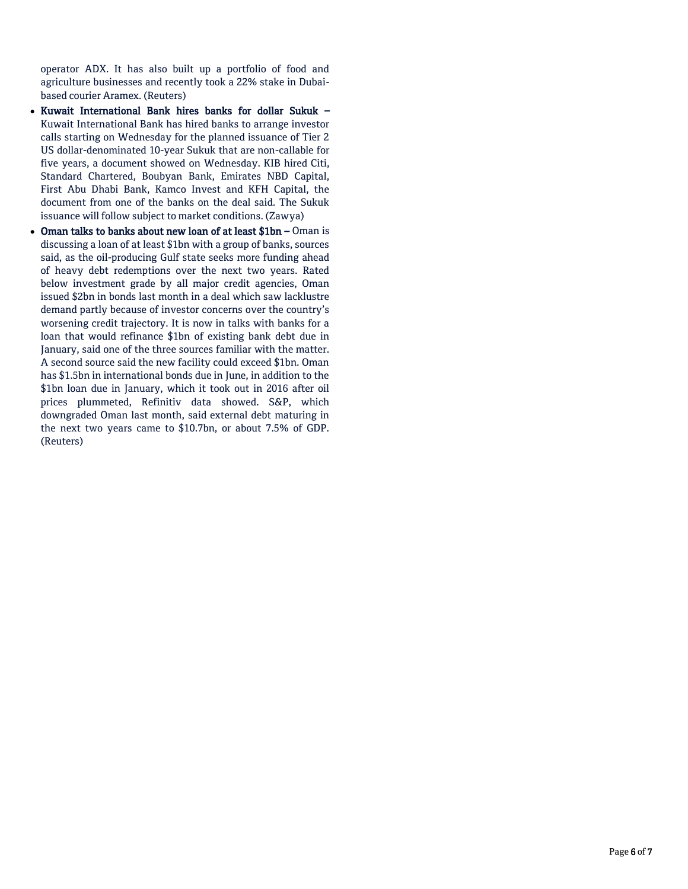operator ADX. It has also built up a portfolio of food and agriculture businesses and recently took a 22% stake in Dubaibased courier Aramex. (Reuters)

- Kuwait International Bank hires banks for dollar Sukuk Kuwait International Bank has hired banks to arrange investor calls starting on Wednesday for the planned issuance of Tier 2 US dollar-denominated 10-year Sukuk that are non-callable for five years, a document showed on Wednesday. KIB hired Citi, Standard Chartered, Boubyan Bank, Emirates NBD Capital, First Abu Dhabi Bank, Kamco Invest and KFH Capital, the document from one of the banks on the deal said. The Sukuk issuance will follow subject to market conditions. (Zawya)
- Oman talks to banks about new loan of at least \$1bn Oman is discussing a loan of at least \$1bn with a group of banks, sources said, as the oil-producing Gulf state seeks more funding ahead of heavy debt redemptions over the next two years. Rated below investment grade by all major credit agencies, Oman issued \$2bn in bonds last month in a deal which saw lacklustre demand partly because of investor concerns over the country's worsening credit trajectory. It is now in talks with banks for a loan that would refinance \$1bn of existing bank debt due in January, said one of the three sources familiar with the matter. A second source said the new facility could exceed \$1bn. Oman has \$1.5bn in international bonds due in June, in addition to the \$1bn loan due in January, which it took out in 2016 after oil prices plummeted, Refinitiv data showed. S&P, which downgraded Oman last month, said external debt maturing in the next two years came to \$10.7bn, or about 7.5% of GDP. (Reuters)